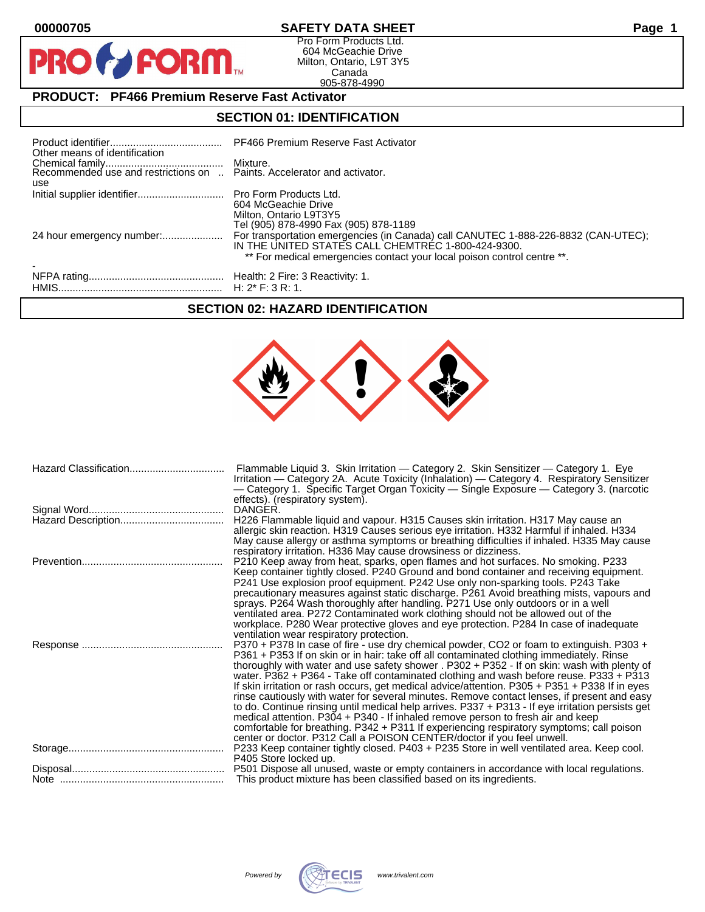Pro Form Products Ltd. 604 McGeachie Drive Milton, Ontario, L9T 3Y5 Canada 905-878-4990

### **PRODUCT: PF466 Premium Reserve Fast Activator**

**PORM** 

### **SECTION 01: IDENTIFICATION**

| Other means of identification                                                  | PF466 Premium Reserve Fast Activator                                                                                                                                                                                |
|--------------------------------------------------------------------------------|---------------------------------------------------------------------------------------------------------------------------------------------------------------------------------------------------------------------|
| Recommended use and restrictions on  Paints. Accelerator and activator.<br>use |                                                                                                                                                                                                                     |
|                                                                                | 604 McGeachie Drive<br>Milton, Ontario L9T3Y5<br>Tel (905) 878-4990 Fax (905) 878-1189                                                                                                                              |
| 24 hour emergency number:                                                      | For transportation emergencies (in Canada) call CANUTEC 1-888-226-8832 (CAN-UTEC);<br>IN THE UNITED STATES CALL CHEMTREC 1-800-424-9300.<br>** For medical emergencies contact your local poison control centre **. |
|                                                                                |                                                                                                                                                                                                                     |

#### **SECTION 02: HAZARD IDENTIFICATION**



precautionary measures against static discharge. P261 Avoid breathing mists, vapours and ventilated area. P272 Contaminated work clothing should not be allowed out of the workplace. P280 Wear protective gloves and eye protection. P284 In case of inadequate ventilation wear respiratory protection. Response ................................................. P370 + P378 In case of fire - use dry chemical powder, CO2 or foam to extinguish. P303 + P361 + P353 If on skin or in hair: take off all contaminated clothing immediately. Rinse thoroughly with water and use safety shower . P302 + P352 - If on skin: wash with plenty of water. P362 + P364 - Take off contaminated clothing and wash before reuse. P333 + P313 If skin irritation or rash occurs, get medical advice/attention. P305 + P351 + P338 If in eyes rinse cautiously with water for several minutes. Remove contact lenses, if present and easy to do. Continue rinsing until medical help arrives. P337 + P313 - If eye irritation persists get medical attention. P304 + P340 - If inhaled remove person to fresh air and keep comfortable for breathing. P342 + P311 If experiencing respiratory symptoms; call poison center or doctor. P312 Call a POISON CENTER/doctor if you feel unwell.

Storage...................................................... P233 Keep container tightly closed. P403 + P235 Store in well ventilated area. Keep cool. P405 Store locked up.

Disposal..................................................... P501 Dispose all unused, waste or empty containers in accordance with local regulations. Note ......................................................... This product mixture has been classified based on its ingredients.

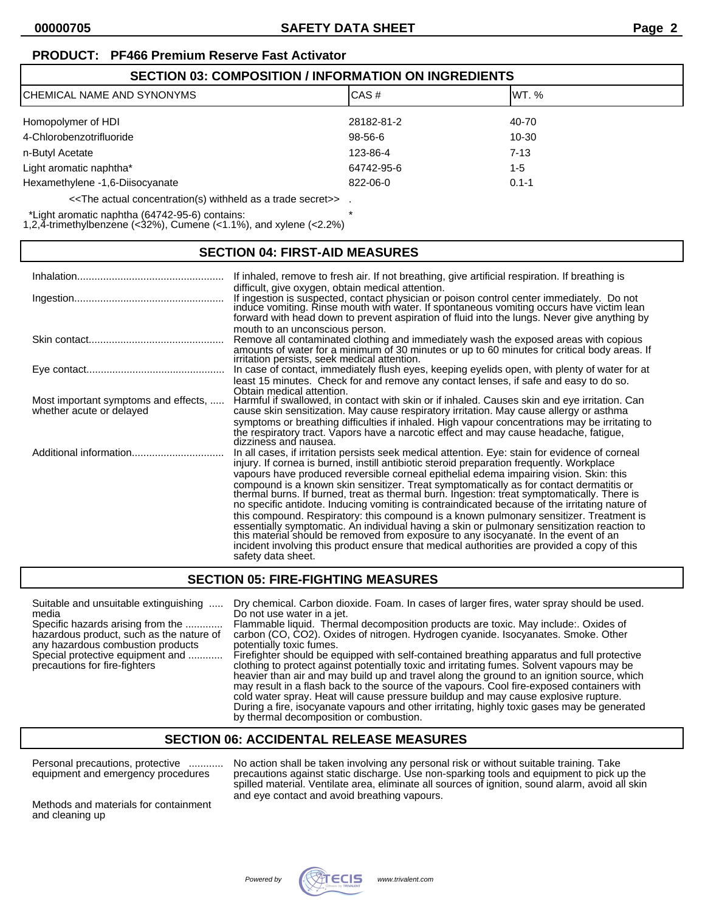# **PRODUCT: PF466 Premium Reserve Fast Activator**

| <b>SECTION 03: COMPOSITION / INFORMATION ON INGREDIENTS</b>                                |            |           |  |
|--------------------------------------------------------------------------------------------|------------|-----------|--|
| <b>ICHEMICAL NAME AND SYNONYMS</b>                                                         | CAS#       | IWT. %    |  |
| Homopolymer of HDI                                                                         | 28182-81-2 | 40-70     |  |
| 4-Chlorobenzotrifluoride                                                                   | 98-56-6    | 10-30     |  |
| n-Butyl Acetate                                                                            | 123-86-4   | $7-13$    |  |
| Light aromatic naphtha*                                                                    | 64742-95-6 | $1 - 5$   |  |
| Hexamethylene -1,6-Diisocyanate                                                            | 822-06-0   | $0.1 - 1$ |  |
| < <the a="" actual="" as="" concentration(s)="" secret="" trade="" withheld="">&gt;.</the> |            |           |  |

\*Light aromatic naphtha (64742-95-6) contains: \*

1,2,4-trimethylbenzene ( $<32\%$ ), Cumene ( $<1.1\%$ ), and xylene ( $<2.2\%$ )

# **SECTION 04: FIRST-AID MEASURES**

|                                                                  | If inhaled, remove to fresh air. If not breathing, give artificial respiration. If breathing is                                                                                                                                                                                                                                                                                                                                                                                                                                                                                                                                                                                                                                                                                                                                                                                                                                                                                    |
|------------------------------------------------------------------|------------------------------------------------------------------------------------------------------------------------------------------------------------------------------------------------------------------------------------------------------------------------------------------------------------------------------------------------------------------------------------------------------------------------------------------------------------------------------------------------------------------------------------------------------------------------------------------------------------------------------------------------------------------------------------------------------------------------------------------------------------------------------------------------------------------------------------------------------------------------------------------------------------------------------------------------------------------------------------|
|                                                                  | difficult, give oxygen, obtain medical attention.<br>If ingestion is suspected, contact physician or poison control center immediately. Do not induce vomiting. Rinse mouth with water. If spontaneous vomiting occurs have victim lean<br>forward with head down to prevent aspiration of fluid into the lungs. Never give anything by                                                                                                                                                                                                                                                                                                                                                                                                                                                                                                                                                                                                                                            |
|                                                                  | mouth to an unconscious person.<br>Remove all contaminated clothing and immediately wash the exposed areas with copious<br>amounts of water for a minimum of 30 minutes or up to 60 minutes for critical body areas. If<br>irritation persists, seek medical attention.                                                                                                                                                                                                                                                                                                                                                                                                                                                                                                                                                                                                                                                                                                            |
|                                                                  | In case of contact, immediately flush eyes, keeping eyelids open, with plenty of water for at<br>least 15 minutes. Check for and remove any contact lenses, if safe and easy to do so.<br>Obtain medical attention.                                                                                                                                                                                                                                                                                                                                                                                                                                                                                                                                                                                                                                                                                                                                                                |
| Most important symptoms and effects,<br>whether acute or delayed | Harmful if swallowed, in contact with skin or if inhaled. Causes skin and eye irritation. Can<br>cause skin sensitization. May cause respiratory irritation. May cause allergy or asthma<br>symptoms or breathing difficulties if inhaled. High vapour concentrations may be irritating to<br>the respiratory tract. Vapors have a narcotic effect and may cause headache, fatigue,<br>dizziness and nausea.                                                                                                                                                                                                                                                                                                                                                                                                                                                                                                                                                                       |
| Additional information                                           | In all cases, if irritation persists seek medical attention. Eye: stain for evidence of corneal<br>injury. If cornea is burned, instill antibiotic steroid preparation frequently. Workplace<br>vapours have produced reversible corneal epithelial edema impairing vision. Skin: this<br>compound is a known skin sensitizer. Treat symptomatically as for contact dermatitis or thermal burns. If burned, treat as thermal burn. Ingestion: treat symptomatically. There is<br>no specific antidote. Inducing vomiting is contraindicated because of the irritating nature of<br>this compound. Respiratory: this compound is a known pulmonary sensitizer. Treatment is<br>essentially symptomatic. An individual having a skin or pulmonary sensitization reaction to this material should be removed from exposure to any isocyanate. In the event of an<br>incident involving this product ensure that medical authorities are provided a copy of this<br>safety data sheet. |

# **SECTION 05: FIRE-FIGHTING MEASURES**

media Do not use water in a jet.

any hazardous combustion products

Suitable and unsuitable extinguishing ..... Dry chemical. Carbon dioxide. Foam. In cases of larger fires, water spray should be used.

Specific hazards arising from the ............. Flammable liquid. Thermal decomposition products are toxic. May include:. Oxides of hazardous product, such as the nature of carbon (CO, CO2). Oxides of nitrogen. Hydrogen cyanide. Isocyanates. Smoke. Other Special protective equipment and ............ Firefighter should be equipped with self-contained breathing apparatus and full protective clothing to protect against potentially toxic and irritating fumes. Solvent vapours may be heavier than air and may build up and travel along the ground to an ignition source, which

may result in a flash back to the source of the vapours. Cool fire-exposed containers with cold water spray. Heat will cause pressure buildup and may cause explosive rupture. During a fire, isocyanate vapours and other irritating, highly toxic gases may be generated by thermal decomposition or combustion.

# **SECTION 06: ACCIDENTAL RELEASE MEASURES**

Personal precautions, protective ............ No action shall be taken involving any personal risk or without suitable training. Take equipment and emergency procedures precautions against static discharge. Use non-sparking tools and equipment to pick up the spilled material. Ventilate area, eliminate all sources of ignition, sound alarm, avoid all skin and eye contact and avoid breathing vapours.

Methods and materials for containment and cleaning up

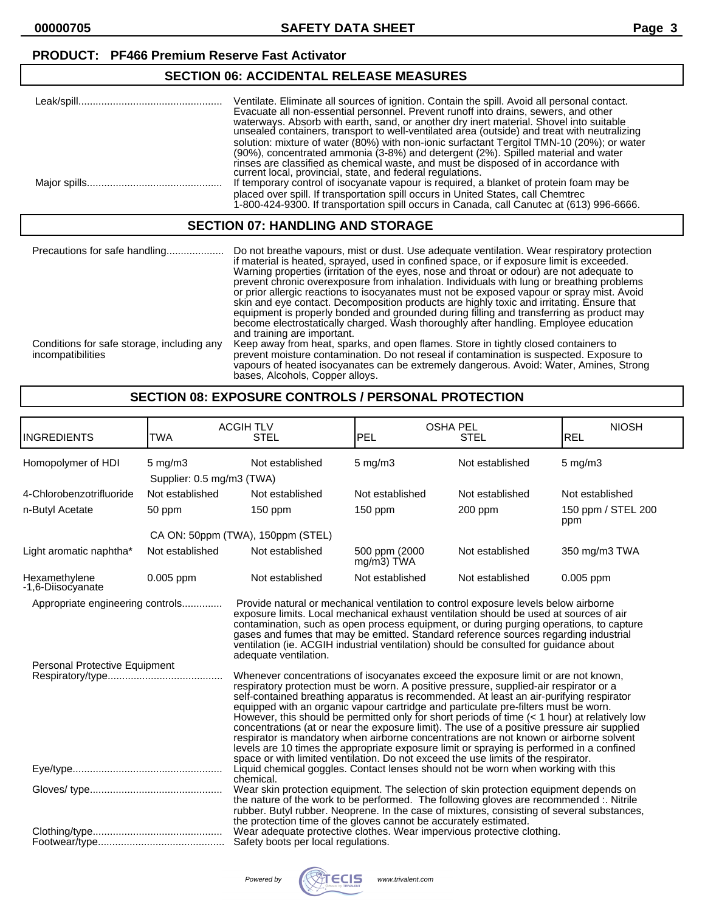### **PRODUCT: PF466 Premium Reserve Fast Activator**

### **SECTION 06: ACCIDENTAL RELEASE MEASURES**

| Ventilate. Eliminate all sources of ignition. Contain the spill. Avoid all personal contact.<br>Evacuate all non-essential personnel. Prevent runoff into drains, sewers, and other<br>waterways. Absorb with earth, sand, or another dry inert material. Shovel into suitable<br>unsealed containers, transport to well-ventilated area (outside) and treat with neutralizing                                                                                                                                                                                                                                    |
|-------------------------------------------------------------------------------------------------------------------------------------------------------------------------------------------------------------------------------------------------------------------------------------------------------------------------------------------------------------------------------------------------------------------------------------------------------------------------------------------------------------------------------------------------------------------------------------------------------------------|
| solution: mixture of water (80%) with non-ionic surfactant Tergitol TMN-10 (20%); or water<br>(90%), concentrated ammonia (3-8%) and detergent (2%). Spilled material and water<br>rinses are classified as chemical waste, and must be disposed of in accordance with<br>current local, provincial, state, and federal regulations.<br>If temporary control of isocyanate vapour is required, a blanket of protein foam may be<br>placed over spill. If transportation spill occurs in United States, call Chemtrec<br>1-800-424-9300. If transportation spill occurs in Canada, call Canutec at (613) 996-6666. |

### **SECTION 07: HANDLING AND STORAGE**

| Precautions for safe handling                                   | Do not breathe vapours, mist or dust. Use adequate ventilation. Wear respiratory protection<br>if material is heated, sprayed, used in confined space, or if exposure limit is exceeded.<br>Warning properties (irritation of the eyes, nose and throat or odour) are not adequate to<br>prevent chronic overexposure from inhalation. Individuals with lung or breathing problems<br>or prior allergic reactions to isocyanates must not be exposed vapour or spray mist. Avoid<br>skin and eye contact. Decomposition products are highly toxic and irritating. Ensure that<br>equipment is properly bonded and grounded during filling and transferring as product may<br>become electrostatically charged. Wash thoroughly after handling. Employee education<br>and training are important. |
|-----------------------------------------------------------------|--------------------------------------------------------------------------------------------------------------------------------------------------------------------------------------------------------------------------------------------------------------------------------------------------------------------------------------------------------------------------------------------------------------------------------------------------------------------------------------------------------------------------------------------------------------------------------------------------------------------------------------------------------------------------------------------------------------------------------------------------------------------------------------------------|
| Conditions for safe storage, including any<br>incompatibilities | Keep away from heat, sparks, and open flames. Store in tightly closed containers to<br>prevent moisture contamination. Do not reseal if contamination is suspected. Exposure to<br>vapours of heated isocyanates can be extremely dangerous. Avoid: Water, Amines, Strong<br>bases, Alcohols, Copper alloys.                                                                                                                                                                                                                                                                                                                                                                                                                                                                                     |

### **SECTION 08: EXPOSURE CONTROLS / PERSONAL PROTECTION**

| <b>INGREDIENTS</b>                                                | <b>TWA</b>                                | <b>ACGIHTLV</b><br><b>STEL</b>                                                                                                                                                                                                                                                                                                                                                                                                                                                                                                                                                                                                                                                                                                                                                                                                                                                                                                                                                                                                                                                                                                                                                                                                              | <b>PEL</b>                  | <b>OSHA PEL</b><br><b>STEL</b> | <b>NIOSH</b><br>REL       |
|-------------------------------------------------------------------|-------------------------------------------|---------------------------------------------------------------------------------------------------------------------------------------------------------------------------------------------------------------------------------------------------------------------------------------------------------------------------------------------------------------------------------------------------------------------------------------------------------------------------------------------------------------------------------------------------------------------------------------------------------------------------------------------------------------------------------------------------------------------------------------------------------------------------------------------------------------------------------------------------------------------------------------------------------------------------------------------------------------------------------------------------------------------------------------------------------------------------------------------------------------------------------------------------------------------------------------------------------------------------------------------|-----------------------------|--------------------------------|---------------------------|
| Homopolymer of HDI                                                | $5$ mg/m $3$<br>Supplier: 0.5 mg/m3 (TWA) | Not established                                                                                                                                                                                                                                                                                                                                                                                                                                                                                                                                                                                                                                                                                                                                                                                                                                                                                                                                                                                                                                                                                                                                                                                                                             | $5$ mg/m $3$                | Not established                | $5$ mg/m $3$              |
| 4-Chlorobenzotrifluoride                                          | Not established                           | Not established                                                                                                                                                                                                                                                                                                                                                                                                                                                                                                                                                                                                                                                                                                                                                                                                                                                                                                                                                                                                                                                                                                                                                                                                                             | Not established             | Not established                | Not established           |
| n-Butyl Acetate                                                   | 50 ppm                                    | $150$ ppm                                                                                                                                                                                                                                                                                                                                                                                                                                                                                                                                                                                                                                                                                                                                                                                                                                                                                                                                                                                                                                                                                                                                                                                                                                   | $150$ ppm                   | $200$ ppm                      | 150 ppm / STEL 200<br>ppm |
|                                                                   |                                           | CA ON: 50ppm (TWA), 150ppm (STEL)                                                                                                                                                                                                                                                                                                                                                                                                                                                                                                                                                                                                                                                                                                                                                                                                                                                                                                                                                                                                                                                                                                                                                                                                           |                             |                                |                           |
| Light aromatic naphtha*                                           | Not established                           | Not established                                                                                                                                                                                                                                                                                                                                                                                                                                                                                                                                                                                                                                                                                                                                                                                                                                                                                                                                                                                                                                                                                                                                                                                                                             | 500 ppm (2000<br>mg/m3) TWA | Not established                | 350 mg/m3 TWA             |
| Hexamethylene<br>-1,6-Diisocyanate                                | $0.005$ ppm                               | Not established                                                                                                                                                                                                                                                                                                                                                                                                                                                                                                                                                                                                                                                                                                                                                                                                                                                                                                                                                                                                                                                                                                                                                                                                                             | Not established             | Not established                | $0.005$ ppm               |
| Appropriate engineering controls<br>Personal Protective Equipment |                                           | Provide natural or mechanical ventilation to control exposure levels below airborne<br>exposure limits. Local mechanical exhaust ventilation should be used at sources of air<br>contamination, such as open process equipment, or during purging operations, to capture<br>gases and fumes that may be emitted. Standard reference sources regarding industrial<br>ventilation (ie. ACGIH industrial ventilation) should be consulted for guidance about<br>adequate ventilation.<br>Whenever concentrations of isocyanates exceed the exposure limit or are not known,<br>respiratory protection must be worn. A positive pressure, supplied-air respirator or a<br>self-contained breathing apparatus is recommended. At least an air-purifying respirator<br>equipped with an organic vapour cartridge and particulate pre-filters must be worn.<br>However, this should be permitted only for short periods of time (< 1 hour) at relatively low<br>concentrations (at or near the exposure limit). The use of a positive pressure air supplied<br>respirator is mandatory when airborne concentrations are not known or airborne solvent<br>levels are 10 times the appropriate exposure limit or spraying is performed in a confined |                             |                                |                           |
|                                                                   |                                           | space or with limited ventilation. Do not exceed the use limits of the respirator.<br>Liquid chemical goggles. Contact lenses should not be worn when working with this<br>chemical.                                                                                                                                                                                                                                                                                                                                                                                                                                                                                                                                                                                                                                                                                                                                                                                                                                                                                                                                                                                                                                                        |                             |                                |                           |
|                                                                   |                                           | Wear skin protection equipment. The selection of skin protection equipment depends on<br>the nature of the work to be performed. The following gloves are recommended :. Nitrile<br>rubber. Butyl rubber. Neoprene. In the case of mixtures, consisting of several substances,<br>the protection time of the gloves cannot be accurately estimated.<br>Wear adequate protective clothes. Wear impervious protective clothing.<br>Safety boots per local regulations.                                                                                                                                                                                                                                                                                                                                                                                                                                                                                                                                                                                                                                                                                                                                                                        |                             |                                |                           |
|                                                                   |                                           |                                                                                                                                                                                                                                                                                                                                                                                                                                                                                                                                                                                                                                                                                                                                                                                                                                                                                                                                                                                                                                                                                                                                                                                                                                             |                             |                                |                           |

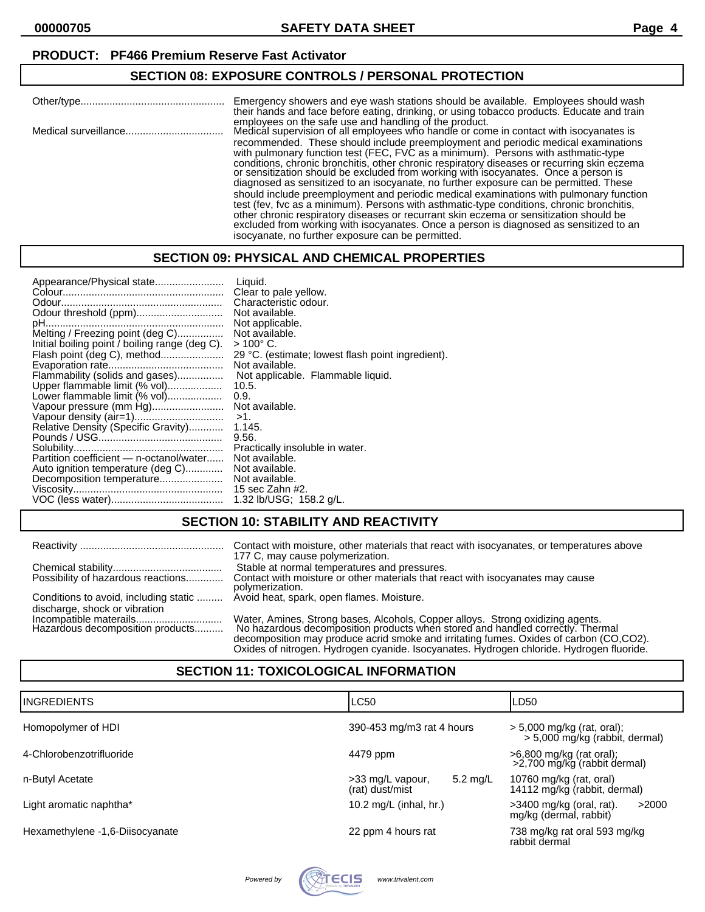#### **PRODUCT: PF466 Premium Reserve Fast Activator**

### **SECTION 08: EXPOSURE CONTROLS / PERSONAL PROTECTION**

| Emergency showers and eye wash stations should be available. Employees should wash<br>their hands and face before eating, drinking, or using tobacco products. Educate and train                                                                                                                                                                                                                                                                                                                                                                                                                          |
|-----------------------------------------------------------------------------------------------------------------------------------------------------------------------------------------------------------------------------------------------------------------------------------------------------------------------------------------------------------------------------------------------------------------------------------------------------------------------------------------------------------------------------------------------------------------------------------------------------------|
| employees on the safe use and handling of the product.<br>Medical supervision of all employees who handle or come in contact with isocyanates is<br>recommended. These should include preemployment and periodic medical examinations<br>with pulmonary function test (FEC, FVC as a minimum). Persons with asthmatic-type<br>conditions, chronic bronchitis, other chronic respiratory diseases or recurring skin eczema<br>or sensitization should be excluded from working with isocyanates. Once a person is<br>diagnosed as sensitized to an isocyanate, no further exposure can be permitted. These |
| should include preemployment and periodic medical examinations with pulmonary function<br>test (fev, fvc as a minimum). Persons with asthmatic-type conditions, chronic bronchitis,<br>other chronic respiratory diseases or recurrant skin eczema or sensitization should be<br>excluded from working with isocyanates. Once a person is diagnosed as sensitized to an<br>isocyanate, no further exposure can be permitted.                                                                                                                                                                              |

# **SECTION 09: PHYSICAL AND CHEMICAL PROPERTIES**

| Appearance/Physical state                      | Liauid.                                           |
|------------------------------------------------|---------------------------------------------------|
|                                                | Clear to pale yellow.                             |
|                                                | Characteristic odour.                             |
|                                                | Not available.                                    |
|                                                | Not applicable.                                   |
| Melting / Freezing point (deg C)               | Not available.                                    |
| Initial boiling point / boiling range (deg C). | $>$ 100 $^{\circ}$ C.                             |
| Flash point (deg C), method                    | 29 °C. (estimate; lowest flash point ingredient). |
|                                                | Not available.                                    |
| Flammability (solids and gases)                | Not applicable. Flammable liquid.                 |
| Upper flammable limit (% vol)                  | 10.5.                                             |
| Lower flammable limit (% vol)                  | 0.9.                                              |
| Vapour pressure (mm Hg)                        | Not available.                                    |
|                                                | $>1$ .                                            |
| Relative Density (Specific Gravity)            | 1.145.                                            |
|                                                | 9.56.                                             |
|                                                | Practically insoluble in water.                   |
| Partition coefficient - n-octanol/water        | Not available.                                    |
| Auto ignition temperature (deg C)              | Not available.                                    |
| Decomposition temperature                      | Not available.                                    |
|                                                | 15 sec Zahn #2.                                   |
|                                                |                                                   |
|                                                | 1.32 lb/USG; 158.2 g/L.                           |

### **SECTION 10: STABILITY AND REACTIVITY**

|                                                                                                                   | Contact with moisture, other materials that react with isocyanates, or temperatures above<br>177 C, may cause polymerization.                                                                                                                                                                                                                          |
|-------------------------------------------------------------------------------------------------------------------|--------------------------------------------------------------------------------------------------------------------------------------------------------------------------------------------------------------------------------------------------------------------------------------------------------------------------------------------------------|
|                                                                                                                   | Stable at normal temperatures and pressures.                                                                                                                                                                                                                                                                                                           |
| Possibility of hazardous reactions                                                                                | Contact with moisture or other materials that react with isocyanates may cause<br>polymerization.                                                                                                                                                                                                                                                      |
| Conditions to avoid, including static  Avoid heat, spark, open flames. Moisture.<br>discharge, shock or vibration |                                                                                                                                                                                                                                                                                                                                                        |
| Hazardous decomposition products                                                                                  | Water, Amines, Strong bases, Alcohols, Copper alloys. Strong oxidizing agents.<br>No hazardous decomposition products when stored and handled correctly. Thermal<br>decomposition may produce acrid smoke and irritating fumes. Oxides of carbon (CO,CO2).<br>Oxides of nitrogen. Hydrogen cyanide. Isocyanates. Hydrogen chloride. Hydrogen fluoride. |

### **SECTION 11: TOXICOLOGICAL INFORMATION**

| IINGREDIENTS                    | LC50                                                      | LD50                                                         |
|---------------------------------|-----------------------------------------------------------|--------------------------------------------------------------|
| Homopolymer of HDI              | 390-453 mg/m3 rat 4 hours                                 | > 5,000 mg/kg (rat, oral);<br>> 5,000 mg/kg (rabbit, dermal) |
| 4-Chlorobenzotrifluoride        | 4479 ppm                                                  | >6,800 mg/kg (rat oral);<br>>2,700 mg/kg (rabbit dermal)     |
| n-Butyl Acetate                 | $5.2 \text{ mg/L}$<br>>33 mg/L vapour,<br>(rat) dust/mist | 10760 mg/kg (rat, oral)<br>14112 mg/kg (rabbit, dermal)      |
| Light aromatic naphtha*         | 10.2 mg/L (inhal, hr.)                                    | >3400 mg/kg (oral, rat).<br>>2000<br>mg/kg (dermal, rabbit)  |
| Hexamethylene -1,6-Diisocyanate | 22 ppm 4 hours rat                                        | 738 mg/kg rat oral 593 mg/kg<br>rabbit dermal                |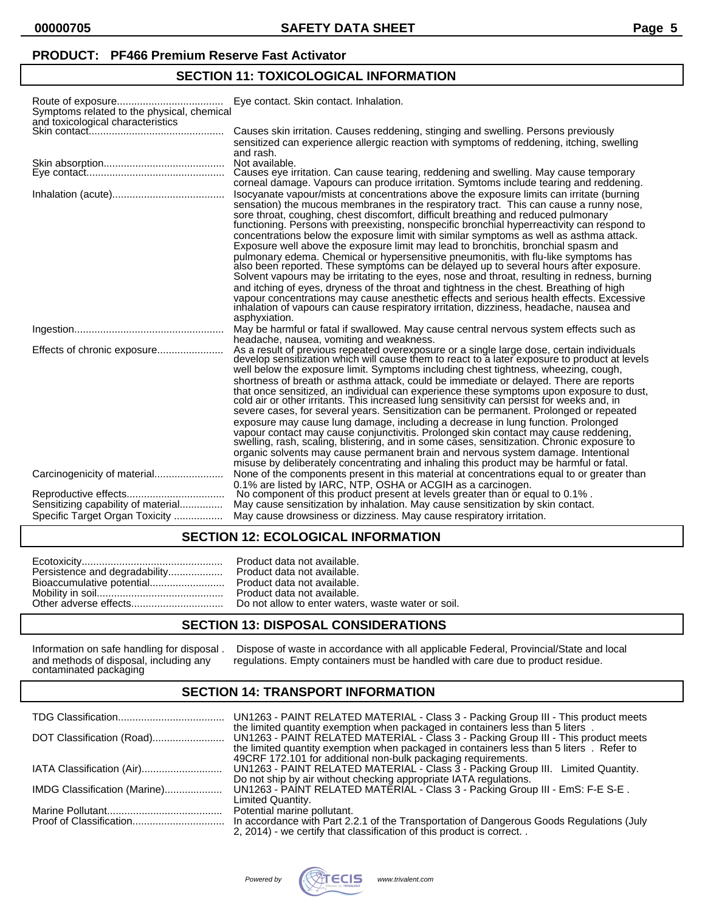#### **PRODUCT: PF466 Premium Reserve Fast Activator**

# **SECTION 11: TOXICOLOGICAL INFORMATION**

| Symptoms related to the physical, chemical<br>and toxicological characteristics |                                                                                                                                                                                                                                                                                                                                                                                                                                                                                                                                                                                                                                                                                                                                                                                                                                                                                                                                                                                                                                                                                                                                                |
|---------------------------------------------------------------------------------|------------------------------------------------------------------------------------------------------------------------------------------------------------------------------------------------------------------------------------------------------------------------------------------------------------------------------------------------------------------------------------------------------------------------------------------------------------------------------------------------------------------------------------------------------------------------------------------------------------------------------------------------------------------------------------------------------------------------------------------------------------------------------------------------------------------------------------------------------------------------------------------------------------------------------------------------------------------------------------------------------------------------------------------------------------------------------------------------------------------------------------------------|
|                                                                                 | Causes skin irritation. Causes reddening, stinging and swelling. Persons previously<br>sensitized can experience allergic reaction with symptoms of reddening, itching, swelling<br>and rash.                                                                                                                                                                                                                                                                                                                                                                                                                                                                                                                                                                                                                                                                                                                                                                                                                                                                                                                                                  |
|                                                                                 | Not available.<br>Causes eye irritation. Can cause tearing, reddening and swelling. May cause temporary<br>corneal damage. Vapours can produce irritation. Symtoms include tearing and reddening.                                                                                                                                                                                                                                                                                                                                                                                                                                                                                                                                                                                                                                                                                                                                                                                                                                                                                                                                              |
|                                                                                 | Isocyanate vapour/mists at concentrations above the exposure limits can irritate (burning<br>sensation) the mucous membranes in the respiratory tract. This can cause a runny nose,<br>sore throat, coughing, chest discomfort, difficult breathing and reduced pulmonary<br>functioning. Persons with preexisting, nonspecific bronchial hyperreactivity can respond to<br>concentrations below the exposure limit with similar symptoms as well as asthma attack.<br>Exposure well above the exposure limit may lead to bronchitis, bronchial spasm and<br>pulmonary edema. Chemical or hypersensitive pneumonitis, with flu-like symptoms has<br>also been reported. These symptoms can be delayed up to several hours after exposure.<br>Solvent vapours may be irritating to the eyes, nose and throat, resulting in redness, burning<br>and itching of eyes, dryness of the throat and tightness in the chest. Breathing of high<br>vapour concentrations may cause anesthetic effects and serious health effects. Excessive<br>inhalation of vapours can cause respiratory irritation, dizziness, headache, nausea and<br>asphyxiation. |
|                                                                                 | May be harmful or fatal if swallowed. May cause central nervous system effects such as<br>headache, nausea, vomiting and weakness.                                                                                                                                                                                                                                                                                                                                                                                                                                                                                                                                                                                                                                                                                                                                                                                                                                                                                                                                                                                                             |
| Effects of chronic exposure                                                     | As a result of previous repeated overexposure or a single large dose, certain individuals develop sensitization which will cause them to react to a later exposure to product at levels<br>well below the exposure limit. Symptoms including chest tightness, wheezing, cough,<br>shortness of breath or asthma attack, could be immediate or delayed. There are reports                                                                                                                                                                                                                                                                                                                                                                                                                                                                                                                                                                                                                                                                                                                                                                       |
|                                                                                 | that once sensitized, an individual can experience these symptoms upon exposure to dust,<br>cold air or other irritants. This increased lung sensitivity can persist for weeks and, in<br>severe cases, for several years. Sensitization can be permanent. Prolonged or repeated<br>exposure may cause lung damage, including a decrease in lung function. Prolonged<br>vapour contact may cause conjunctivitis. Prolonged skin contact may cause reddening, swelling, rash, scaling, blistering, and in some cases, sensitization. Chronic exposure to<br>organic solvents may cause permanent brain and nervous system damage. Intentional<br>misuse by deliberately concentrating and inhaling this product may be harmful or fatal.                                                                                                                                                                                                                                                                                                                                                                                                        |
|                                                                                 | None of the components present in this material at concentrations equal to or greater than<br>0.1% are listed by IARC, NTP, OSHA or ACGIH as a carcinogen.                                                                                                                                                                                                                                                                                                                                                                                                                                                                                                                                                                                                                                                                                                                                                                                                                                                                                                                                                                                     |
| Sensitizing capability of material<br>Specific Target Organ Toxicity            | No component of this product present at levels greater than or equal to 0.1%.<br>May cause sensitization by inhalation. May cause sensitization by skin contact.<br>May cause drowsiness or dizziness. May cause respiratory irritation.                                                                                                                                                                                                                                                                                                                                                                                                                                                                                                                                                                                                                                                                                                                                                                                                                                                                                                       |

### **SECTION 12: ECOLOGICAL INFORMATION**

| Product data not available. |
|-----------------------------|
|                             |

### **SECTION 13: DISPOSAL CONSIDERATIONS**

and methods of disposal, including any<br>contaminated packaging

Information on safe handling for disposal . Dispose of waste in accordance with all applicable Federal, Provincial/State and local regulations. Empty containers must be handled with care due to product residue.

#### **SECTION 14: TRANSPORT INFORMATION**

|                              | UN1263 - PAINT RELATED MATERIAL - Class 3 - Packing Group III - This product meets       |
|------------------------------|------------------------------------------------------------------------------------------|
|                              | the limited quantity exemption when packaged in containers less than 5 liters.           |
|                              |                                                                                          |
|                              | the limited quantity exemption when packaged in containers less than 5 liters . Refer to |
|                              | 49CRF 172.101 for additional non-bulk packaging requirements.                            |
|                              | UN1263 - PAINT RELATED MATERIAL - Class 3 - Packing Group III. Limited Quantity.         |
|                              | Do not ship by air without checking appropriate IATA regulations.                        |
| IMDG Classification (Marine) | UN1263 - PAINT RELATED MATERIAL - Class 3 - Packing Group III - EmS: F-E S-E.            |
|                              | Limited Quantity.                                                                        |
|                              | Potential marine pollutant.                                                              |
|                              | In accordance with Part 2.2.1 of the Transportation of Dangerous Goods Regulations (July |
|                              | 2, 2014) - we certify that classification of this product is correct                     |